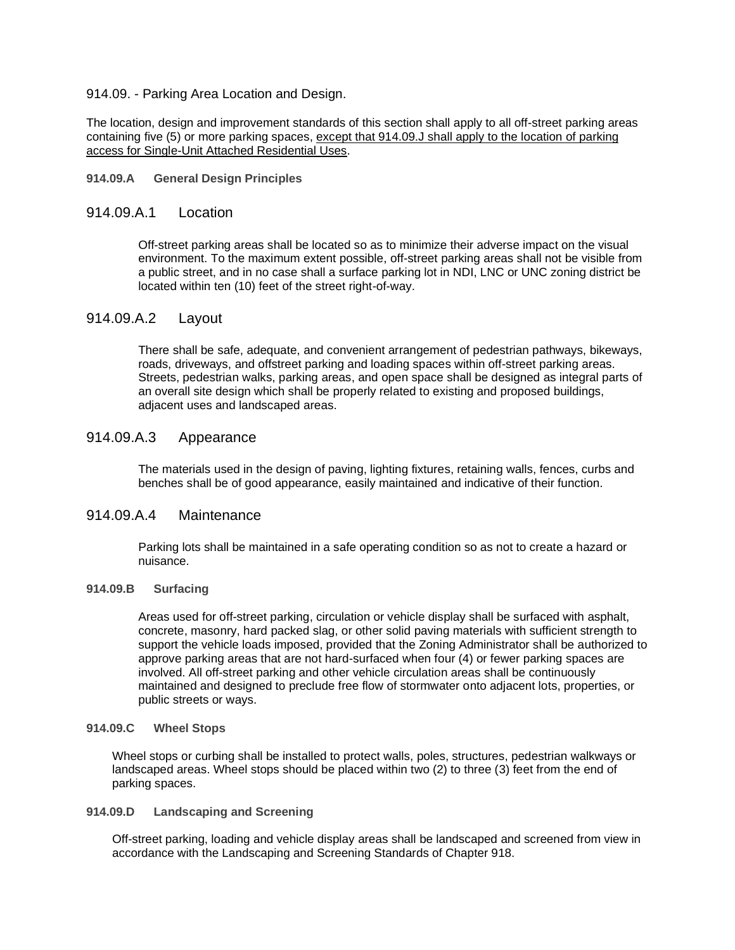#### 914.09. - Parking Area Location and Design.

The location, design and improvement standards of this section shall apply to all off-street parking areas containing five (5) or more parking spaces, except that 914.09.J shall apply to the location of parking access for Single-Unit Attached Residential Uses.

#### **914.09.A General Design Principles**

### 914.09.A.1 Location

Off-street parking areas shall be located so as to minimize their adverse impact on the visual environment. To the maximum extent possible, off-street parking areas shall not be visible from a public street, and in no case shall a surface parking lot in NDI, LNC or UNC zoning district be located within ten (10) feet of the street right-of-way.

## 914.09.A.2 Layout

There shall be safe, adequate, and convenient arrangement of pedestrian pathways, bikeways, roads, driveways, and offstreet parking and loading spaces within off-street parking areas. Streets, pedestrian walks, parking areas, and open space shall be designed as integral parts of an overall site design which shall be properly related to existing and proposed buildings, adjacent uses and landscaped areas.

# 914.09.A.3 Appearance

The materials used in the design of paving, lighting fixtures, retaining walls, fences, curbs and benches shall be of good appearance, easily maintained and indicative of their function.

# 914.09.A.4 Maintenance

Parking lots shall be maintained in a safe operating condition so as not to create a hazard or nuisance.

#### **914.09.B Surfacing**

Areas used for off-street parking, circulation or vehicle display shall be surfaced with asphalt, concrete, masonry, hard packed slag, or other solid paving materials with sufficient strength to support the vehicle loads imposed, provided that the Zoning Administrator shall be authorized to approve parking areas that are not hard-surfaced when four (4) or fewer parking spaces are involved. All off-street parking and other vehicle circulation areas shall be continuously maintained and designed to preclude free flow of stormwater onto adjacent lots, properties, or public streets or ways.

#### **914.09.C Wheel Stops**

Wheel stops or curbing shall be installed to protect walls, poles, structures, pedestrian walkways or landscaped areas. Wheel stops should be placed within two (2) to three (3) feet from the end of parking spaces.

### **914.09.D Landscaping and Screening**

Off-street parking, loading and vehicle display areas shall be landscaped and screened from view in accordance with the Landscaping and Screening Standards of Chapter 918.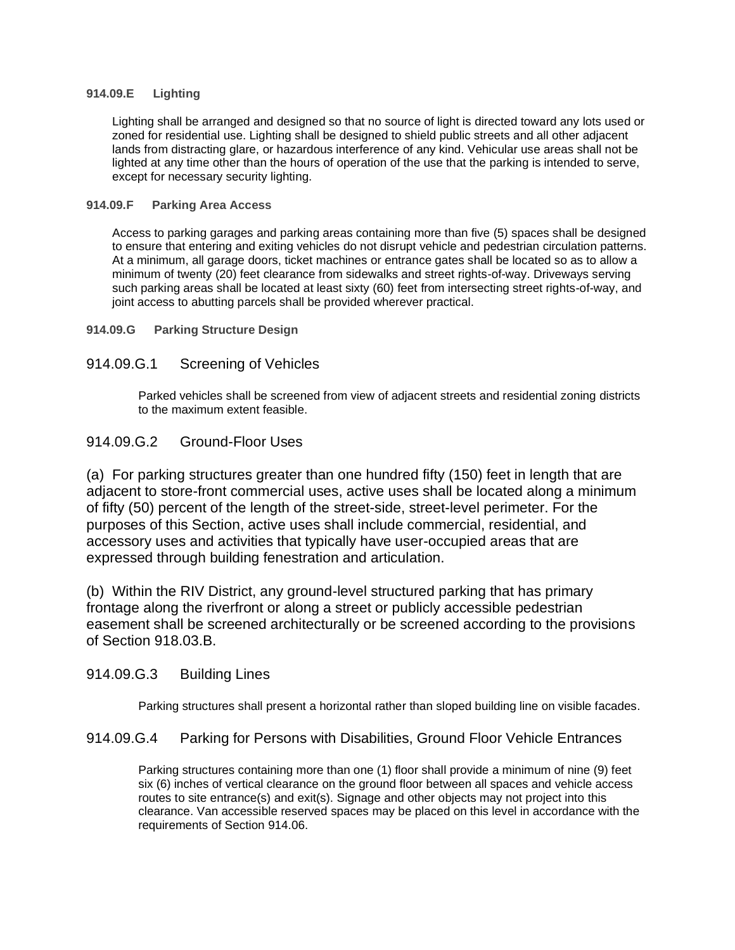### **914.09.E Lighting**

Lighting shall be arranged and designed so that no source of light is directed toward any lots used or zoned for residential use. Lighting shall be designed to shield public streets and all other adjacent lands from distracting glare, or hazardous interference of any kind. Vehicular use areas shall not be lighted at any time other than the hours of operation of the use that the parking is intended to serve, except for necessary security lighting.

### **914.09.F Parking Area Access**

Access to parking garages and parking areas containing more than five (5) spaces shall be designed to ensure that entering and exiting vehicles do not disrupt vehicle and pedestrian circulation patterns. At a minimum, all garage doors, ticket machines or entrance gates shall be located so as to allow a minimum of twenty (20) feet clearance from sidewalks and street rights-of-way. Driveways serving such parking areas shall be located at least sixty (60) feet from intersecting street rights-of-way, and joint access to abutting parcels shall be provided wherever practical.

**914.09.G Parking Structure Design**

## 914.09.G.1 Screening of Vehicles

Parked vehicles shall be screened from view of adjacent streets and residential zoning districts to the maximum extent feasible.

# 914.09.G.2 Ground-Floor Uses

(a) For parking structures greater than one hundred fifty (150) feet in length that are adjacent to store-front commercial uses, active uses shall be located along a minimum of fifty (50) percent of the length of the street-side, street-level perimeter. For the purposes of this Section, active uses shall include commercial, residential, and accessory uses and activities that typically have user-occupied areas that are expressed through building fenestration and articulation.

(b) Within the RIV District, any ground-level structured parking that has primary frontage along the riverfront or along a street or publicly accessible pedestrian easement shall be screened architecturally or be screened according to the provisions of Section 918.03.B.

# 914.09.G.3 Building Lines

Parking structures shall present a horizontal rather than sloped building line on visible facades.

# 914.09.G.4 Parking for Persons with Disabilities, Ground Floor Vehicle Entrances

Parking structures containing more than one (1) floor shall provide a minimum of nine (9) feet six (6) inches of vertical clearance on the ground floor between all spaces and vehicle access routes to site entrance(s) and exit(s). Signage and other objects may not project into this clearance. Van accessible reserved spaces may be placed on this level in accordance with the requirements of Section 914.06.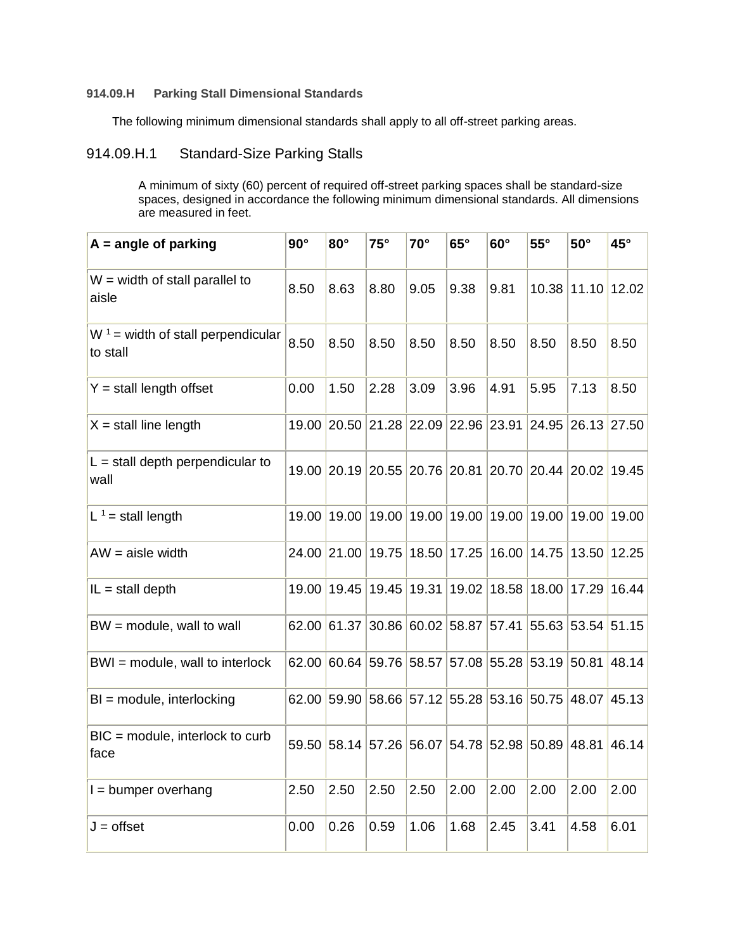## **914.09.H Parking Stall Dimensional Standards**

The following minimum dimensional standards shall apply to all off-street parking areas.

# 914.09.H.1 Standard-Size Parking Stalls

A minimum of sixty (60) percent of required off-street parking spaces shall be standard-size spaces, designed in accordance the following minimum dimensional standards. All dimensions are measured in feet.

| $A = angle of parking$                           | $90^\circ$ | $80^\circ$  | $75^\circ$  | $70^{\circ}$      | $65^\circ$                                            | $60^\circ$  | $55^{\circ}$            | $50^\circ$        | $45^{\circ}$ |
|--------------------------------------------------|------------|-------------|-------------|-------------------|-------------------------------------------------------|-------------|-------------------------|-------------------|--------------|
| $W =$ width of stall parallel to<br>aisle        | 8.50       | 8.63        | 8.80        | 9.05              | 9.38                                                  | 9.81        |                         | 10.38 11.10 12.02 |              |
| $W^1$ = width of stall perpendicular<br>to stall | 8.50       | 8.50        | 8.50        | 8.50              | 8.50                                                  | 8.50        | 8.50                    | 8.50              | 8.50         |
| $Y =$ stall length offset                        | 0.00       | 1.50        | 2.28        | 3.09              | 3.96                                                  | 4.91        | 5.95                    | 7.13              | 8.50         |
| $X =$ stall line length                          |            | 19.00 20.50 |             |                   | 21.28 22.09 22.96 23.91 24.95 26.13 27.50             |             |                         |                   |              |
| $L =$ stall depth perpendicular to<br>wall       |            |             |             |                   | 19.00 20.19 20.55 20.76 20.81 20.70 20.44 20.02 19.45 |             |                         |                   |              |
| L <sup>1</sup> = stall length                    |            | 19.00 19.00 | 19.00       | 19.00 19.00       |                                                       | 19.00 19.00 |                         | 19.00             | 19.00        |
| $AW = aisle width$                               |            | 24.00 21.00 |             | 19.75 18.50 17.25 |                                                       |             | 16.00 14.75 13.50 12.25 |                   |              |
| $IL = stall$ depth                               |            | 19.00 19.45 | 19.45 19.31 |                   | 19.02                                                 | 18.58       | 18.00 17.29             |                   | 16.44        |
| $BW = module$ , wall to wall                     |            | 62.00 61.37 |             |                   | 30.86 60.02 58.87                                     | 57.41       | 55.63 53.54 51.15       |                   |              |
| BWI = module, wall to interlock                  |            | 62.00 60.64 | 59.76 58.57 |                   |                                                       |             | 57.08 55.28 53.19 50.81 |                   | 48.14        |
| $BI = module$ , interlocking                     |            | 62.00 59.90 |             |                   | 58.66 57.12 55.28 53.16 50.75 48.07                   |             |                         |                   | 45.13        |
| $BIC = module$ , interlock to curb<br>face       |            | 59.50 58.14 |             |                   | 57.26 56.07 54.78 52.98 50.89 48.81                   |             |                         |                   | 46.14        |
| $I =$ bumper overhang                            | 2.50       | 2.50        | 2.50        | 2.50              | 2.00                                                  | 2.00        | 2.00                    | 2.00              | 2.00         |
| $J =$ offset                                     | 0.00       | 0.26        | 0.59        | 1.06              | 1.68                                                  | 2.45        | 3.41                    | 4.58              | 6.01         |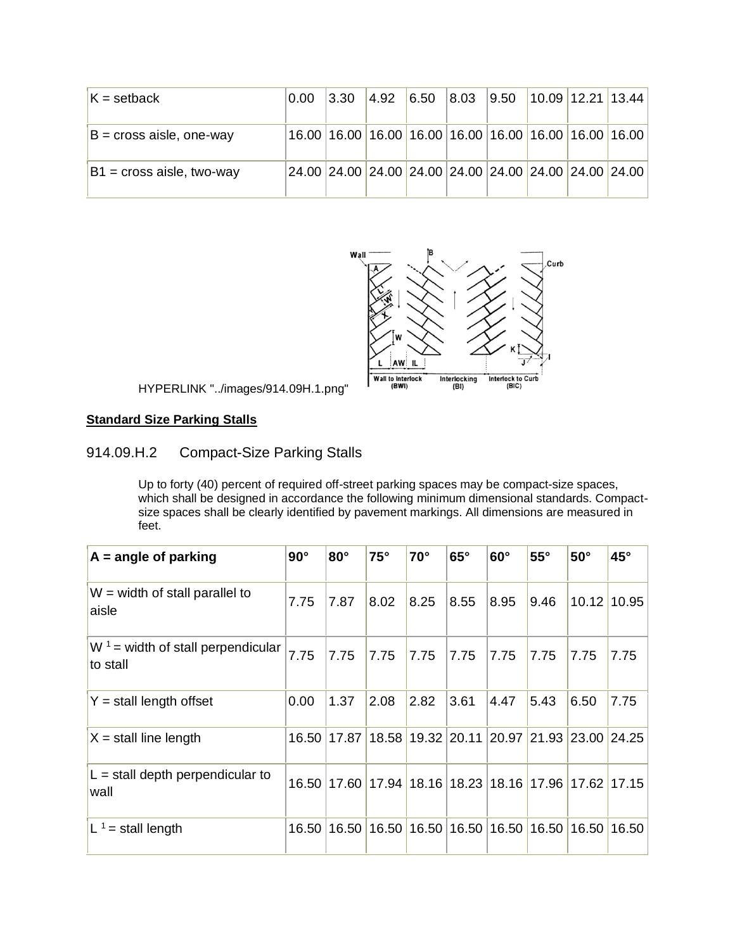| $K = setback$               | 0.00 | 3.30 | 4.92 | $\vert 6.50 \vert \vert 8.03 \vert \vert 9.50 \vert \vert 10.09 \vert 12.21 \vert 13.44 \vert$ |  |  |
|-----------------------------|------|------|------|------------------------------------------------------------------------------------------------|--|--|
| $B = cross$ aisle, one-way  |      |      |      | 16.00 16.00 16.00 16.00 16.00 16.00 16.00 16.00 16.00 16.00                                    |  |  |
| $B1$ = cross aisle, two-way |      |      |      | $24.00$ $ 24.00$ $ 24.00$ $ 24.00$ $ 24.00$ $ 24.00$ $ 24.00$ $ 24.00$ $ 24.00$                |  |  |



HYPERLINK "../images/914.09H.1.png"

# **Standard Size Parking Stalls**

# 914.09.H.2 Compact-Size Parking Stalls

Up to forty (40) percent of required off-street parking spaces may be compact-size spaces, which shall be designed in accordance the following minimum dimensional standards. Compactsize spaces shall be clearly identified by pavement markings. All dimensions are measured in feet.

| $A = angle of parking$                           | $90^\circ$ | $80^\circ$  | $75^\circ$ | $70^\circ$ | $65^\circ$  | $60^\circ$ | $55^{\circ}$                              | $50^\circ$  | $45^{\circ}$  |
|--------------------------------------------------|------------|-------------|------------|------------|-------------|------------|-------------------------------------------|-------------|---------------|
| W = width of stall parallel to<br>aisle          | 7.75       | 7.87        | 8.02       | 8.25       | 8.55        | 8.95       | 9.46                                      |             | $10.12$ 10.95 |
| $W^1$ = width of stall perpendicular<br>to stall | 7.75       | 7.75        | 7.75       | 7.75       | 7.75        | 7.75       | 7.75                                      | 7.75        | 7.75          |
| $Y =$ stall length offset                        | 0.00       | 1.37        | 2.08       | 2.82       | 3.61        | 4.47       | 5.43                                      | 6.50        | 7.75          |
| $X =$ stall line length                          | 16.50      | 17.87       | 18.58      |            | 19.32 20.11 | 20.97      |                                           | 21.93 23.00 | 24.25         |
| $L =$ stall depth perpendicular to<br>wall       |            | 16.50 17.60 |            |            |             |            | 17.94 18.16 18.23 18.16 17.96 17.62 17.15 |             |               |
| L <sup>1</sup> = stall length                    | 16.50      | 16.50       | 16.50      |            | 16.50 16.50 | 16.50      | 16.50                                     | 16.50       | 16.50         |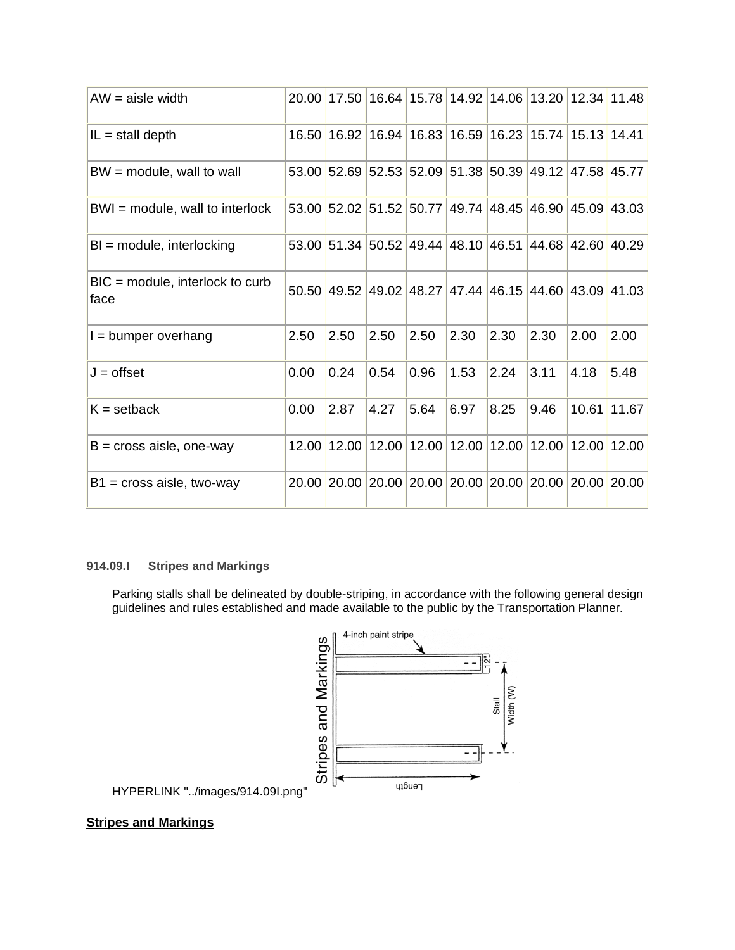| $AW = aisle width$                         | 20.00 | 17.50             | 16.64 |      | 15.78 14.92                                           | 14.06 | 13.20 |                   | 12.34 11.48 |
|--------------------------------------------|-------|-------------------|-------|------|-------------------------------------------------------|-------|-------|-------------------|-------------|
| $IL = stall$ depth                         |       | 16.50 16.92 16.94 |       |      | 16.83 16.59 16.23                                     |       | 15.74 | 15.13 14.41       |             |
| $BW = module$ , wall to wall               |       |                   |       |      | 53.00 52.69 52.53 52.09 51.38 50.39 49.12 47.58 45.77 |       |       |                   |             |
| $BWI = module$ , wall to interlock         |       | 53.00 52.02 51.52 |       |      | 50.77 49.74 48.45                                     |       |       | 46.90 45.09 43.03 |             |
| $BI = module$ , interlocking               |       |                   |       |      | 53.00 51.34 50.52 49.44 48.10 46.51                   |       |       | 44.68 42.60 40.29 |             |
| $BIC = module$ , interlock to curb<br>face |       | 50.50 49.52       | 49.02 |      | 48.27 47.44 46.15                                     |       |       | 44.60 43.09 41.03 |             |
| $I =$ bumper overhang                      | 2.50  | 2.50              | 2.50  | 2.50 | 2.30                                                  | 2.30  | 2.30  | 2.00              | 2.00        |
| $J =$ offset                               | 0.00  | 0.24              | 0.54  | 0.96 | 1.53                                                  | 2.24  | 3.11  | 4.18              | 5.48        |
| $K = setback$                              | 0.00  | 2.87              | 4.27  | 5.64 | 6.97                                                  | 8.25  | 9.46  | 10.61             | 11.67       |
| $B = cross$ aisle, one-way                 |       | 12.00 12.00       | 12.00 |      | 12.00 12.00                                           | 12.00 | 12.00 |                   | 12.00 12.00 |
| $B1$ = cross aisle, two-way                |       | 20.00 20.00       | 20.00 |      | 20.00 20.00 20.00                                     |       |       | 20.00 20.00 20.00 |             |

### **914.09.I Stripes and Markings**

Parking stalls shall be delineated by double-striping, in accordance with the following general design guidelines and rules established and made available to the public by the Transportation Planner.



HYPERLINK "../images/914.09I.png"

## **Stripes and Markings**